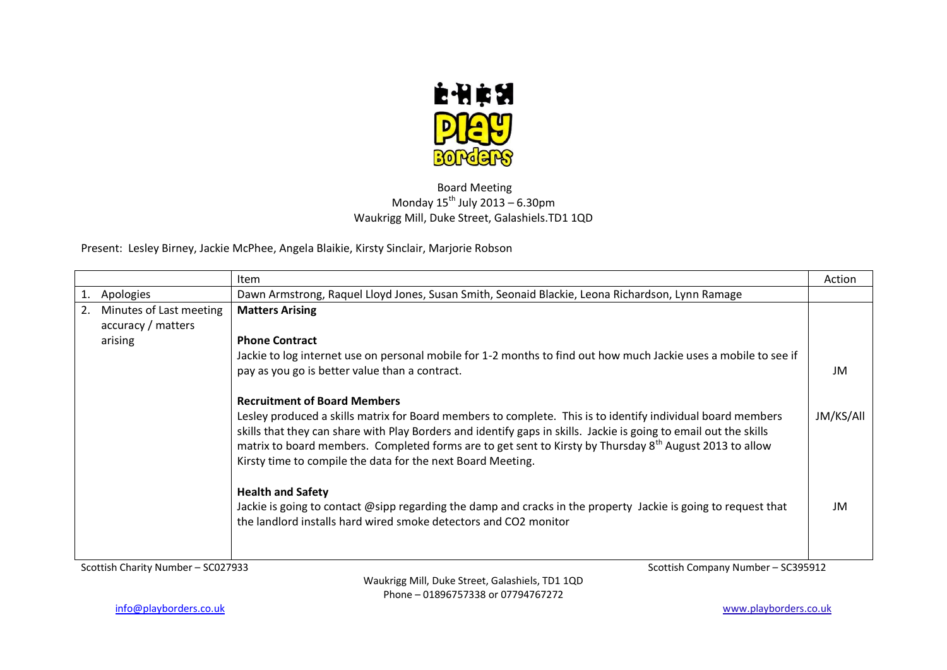

## Board Meeting Monday  $15^{th}$  July 2013 – 6.30pm Waukrigg Mill, Duke Street, Galashiels.TD1 1QD

Present: Lesley Birney, Jackie McPhee, Angela Blaikie, Kirsty Sinclair, Marjorie Robson

|                                    |                         | <b>Item</b>                                                                                                                                                                                                                                                                                                                                                                                                            | Action    |
|------------------------------------|-------------------------|------------------------------------------------------------------------------------------------------------------------------------------------------------------------------------------------------------------------------------------------------------------------------------------------------------------------------------------------------------------------------------------------------------------------|-----------|
| Apologies                          |                         | Dawn Armstrong, Raquel Lloyd Jones, Susan Smith, Seonaid Blackie, Leona Richardson, Lynn Ramage                                                                                                                                                                                                                                                                                                                        |           |
| 2.                                 | Minutes of Last meeting | <b>Matters Arising</b>                                                                                                                                                                                                                                                                                                                                                                                                 |           |
| accuracy / matters                 |                         |                                                                                                                                                                                                                                                                                                                                                                                                                        |           |
| arising                            |                         | <b>Phone Contract</b>                                                                                                                                                                                                                                                                                                                                                                                                  |           |
|                                    |                         | Jackie to log internet use on personal mobile for 1-2 months to find out how much Jackie uses a mobile to see if                                                                                                                                                                                                                                                                                                       |           |
|                                    |                         | pay as you go is better value than a contract.                                                                                                                                                                                                                                                                                                                                                                         | JM        |
|                                    |                         |                                                                                                                                                                                                                                                                                                                                                                                                                        |           |
|                                    |                         | <b>Recruitment of Board Members</b>                                                                                                                                                                                                                                                                                                                                                                                    |           |
|                                    |                         | Lesley produced a skills matrix for Board members to complete. This is to identify individual board members<br>skills that they can share with Play Borders and identify gaps in skills. Jackie is going to email out the skills<br>matrix to board members. Completed forms are to get sent to Kirsty by Thursday 8 <sup>th</sup> August 2013 to allow<br>Kirsty time to compile the data for the next Board Meeting. | JM/KS/All |
|                                    |                         | <b>Health and Safety</b>                                                                                                                                                                                                                                                                                                                                                                                               |           |
|                                    |                         | Jackie is going to contact @sipp regarding the damp and cracks in the property Jackie is going to request that<br>the landlord installs hard wired smoke detectors and CO2 monitor                                                                                                                                                                                                                                     | JM        |
| Scottish Charity Number - SC027933 |                         | Scottish Company Number - SC395912                                                                                                                                                                                                                                                                                                                                                                                     |           |

Waukrigg Mill, Duke Street, Galashiels, TD1 1QD Phone – 01896757338 or 07794767272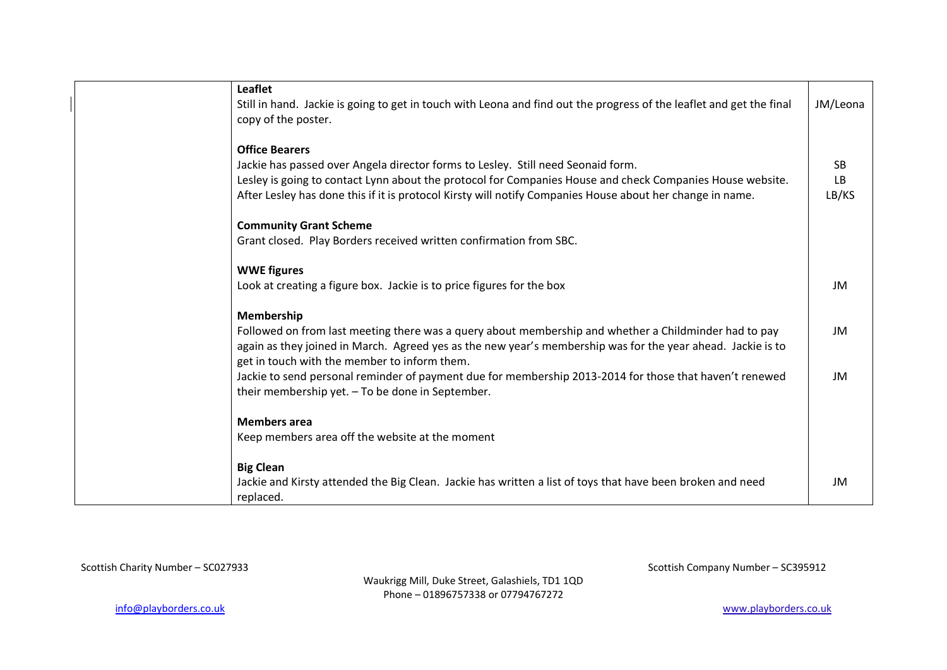| <b>Leaflet</b>                                                                                                       |           |
|----------------------------------------------------------------------------------------------------------------------|-----------|
| Still in hand. Jackie is going to get in touch with Leona and find out the progress of the leaflet and get the final | JM/Leona  |
| copy of the poster.                                                                                                  |           |
| <b>Office Bearers</b>                                                                                                |           |
| Jackie has passed over Angela director forms to Lesley. Still need Seonaid form.                                     | <b>SB</b> |
| Lesley is going to contact Lynn about the protocol for Companies House and check Companies House website.            | LB        |
| After Lesley has done this if it is protocol Kirsty will notify Companies House about her change in name.            | LB/KS     |
| <b>Community Grant Scheme</b>                                                                                        |           |
| Grant closed. Play Borders received written confirmation from SBC.                                                   |           |
| <b>WWE figures</b>                                                                                                   |           |
| Look at creating a figure box. Jackie is to price figures for the box                                                | JM        |
| Membership                                                                                                           |           |
| Followed on from last meeting there was a query about membership and whether a Childminder had to pay                | JM        |
| again as they joined in March. Agreed yes as the new year's membership was for the year ahead. Jackie is to          |           |
| get in touch with the member to inform them.                                                                         |           |
| Jackie to send personal reminder of payment due for membership 2013-2014 for those that haven't renewed              | JM        |
| their membership yet. - To be done in September.                                                                     |           |
| <b>Members area</b>                                                                                                  |           |
| Keep members area off the website at the moment                                                                      |           |
| <b>Big Clean</b>                                                                                                     |           |
| Jackie and Kirsty attended the Big Clean. Jackie has written a list of toys that have been broken and need           | JM        |
| replaced.                                                                                                            |           |

Waukrigg Mill, Duke Street, Galashiels, TD1 1QD Phone – 01896757338 or 07794767272

Scottish Charity Number – SC027933 Scottish Company Number – SC395912

[info@playborders.co.uk](mailto:info@playborders.co.uk) www.playborders.co.uk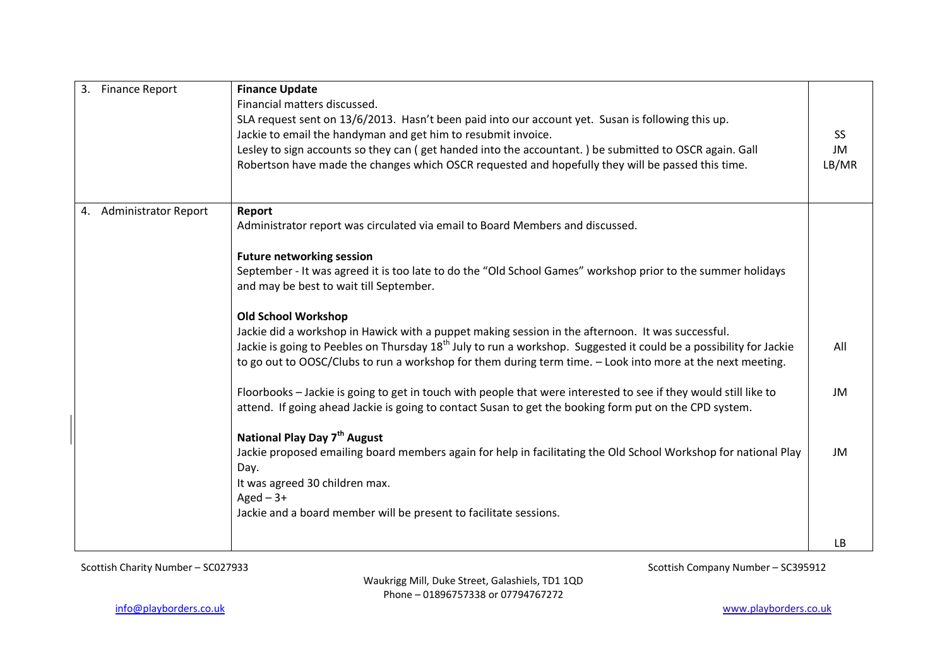| 3.<br><b>Finance Report</b>       | <b>Finance Update</b><br>Financial matters discussed.<br>SLA request sent on 13/6/2013. Hasn't been paid into our account yet. Susan is following this up.<br>Jackie to email the handyman and get him to resubmit invoice.<br>Lesley to sign accounts so they can (get handed into the accountant.) be submitted to OSCR again. Gall<br>Robertson have made the changes which OSCR requested and hopefully they will be passed this time. | SS<br>JM<br>LB/MR |
|-----------------------------------|--------------------------------------------------------------------------------------------------------------------------------------------------------------------------------------------------------------------------------------------------------------------------------------------------------------------------------------------------------------------------------------------------------------------------------------------|-------------------|
| <b>Administrator Report</b><br>4. | Report<br>Administrator report was circulated via email to Board Members and discussed.<br><b>Future networking session</b><br>September - It was agreed it is too late to do the "Old School Games" workshop prior to the summer holidays<br>and may be best to wait till September.                                                                                                                                                      |                   |
|                                   | <b>Old School Workshop</b><br>Jackie did a workshop in Hawick with a puppet making session in the afternoon. It was successful.<br>Jackie is going to Peebles on Thursday 18 <sup>th</sup> July to run a workshop. Suggested it could be a possibility for Jackie<br>to go out to OOSC/Clubs to run a workshop for them during term time. - Look into more at the next meeting.                                                            | All               |
|                                   | Floorbooks - Jackie is going to get in touch with people that were interested to see if they would still like to<br>attend. If going ahead Jackie is going to contact Susan to get the booking form put on the CPD system.                                                                                                                                                                                                                 | JM                |
|                                   | National Play Day 7 <sup>th</sup> August<br>Jackie proposed emailing board members again for help in facilitating the Old School Workshop for national Play<br>Day.<br>It was agreed 30 children max.<br>$Aged - 3+$<br>Jackie and a board member will be present to facilitate sessions.                                                                                                                                                  | <b>JM</b>         |
|                                   |                                                                                                                                                                                                                                                                                                                                                                                                                                            | LB                |

Scottish Charity Number – SC027933 Scottish Company Number – SC395912

Waukrigg Mill, Duke Street, Galashiels, TD1 1QD Phone – 01896757338 or 07794767272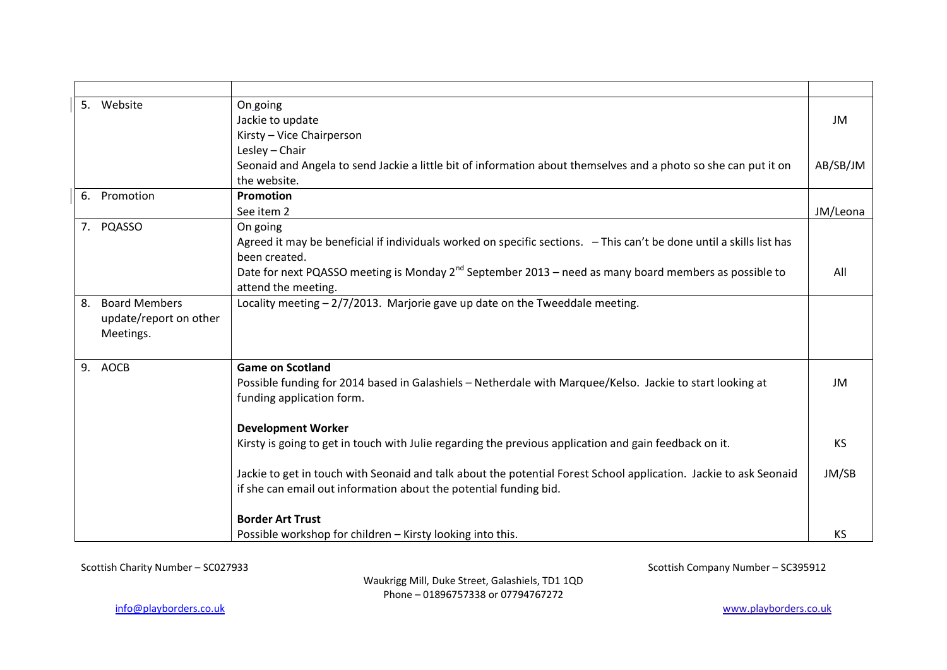|    | 5. Website                                                  | On going<br>Jackie to update<br>Kirsty - Vice Chairperson                                                                                                                              | JM        |
|----|-------------------------------------------------------------|----------------------------------------------------------------------------------------------------------------------------------------------------------------------------------------|-----------|
|    |                                                             | Lesley - Chair<br>Seonaid and Angela to send Jackie a little bit of information about themselves and a photo so she can put it on<br>the website.                                      | AB/SB/JM  |
| 6. | Promotion                                                   | Promotion                                                                                                                                                                              |           |
|    |                                                             | See item 2                                                                                                                                                                             | JM/Leona  |
|    | 7. PQASSO                                                   | On going<br>Agreed it may be beneficial if individuals worked on specific sections. - This can't be done until a skills list has<br>been created.                                      |           |
|    |                                                             | Date for next PQASSO meeting is Monday $2^{nd}$ September 2013 – need as many board members as possible to<br>attend the meeting.                                                      | All       |
| 8. | <b>Board Members</b><br>update/report on other<br>Meetings. | Locality meeting $-2/7/2013$ . Marjorie gave up date on the Tweeddale meeting.                                                                                                         |           |
|    | 9. AOCB                                                     | <b>Game on Scotland</b><br>Possible funding for 2014 based in Galashiels - Netherdale with Marquee/Kelso. Jackie to start looking at<br>funding application form.                      | JM        |
|    |                                                             | <b>Development Worker</b>                                                                                                                                                              |           |
|    |                                                             | Kirsty is going to get in touch with Julie regarding the previous application and gain feedback on it.                                                                                 | <b>KS</b> |
|    |                                                             | Jackie to get in touch with Seonaid and talk about the potential Forest School application. Jackie to ask Seonaid<br>if she can email out information about the potential funding bid. | JM/SB     |
|    |                                                             | <b>Border Art Trust</b>                                                                                                                                                                |           |
|    |                                                             | Possible workshop for children - Kirsty looking into this.                                                                                                                             | <b>KS</b> |

Scottish Charity Number – SC027933 Scottish Company Number – SC395912

Waukrigg Mill, Duke Street, Galashiels, TD1 1QD Phone – 01896757338 or 07794767272